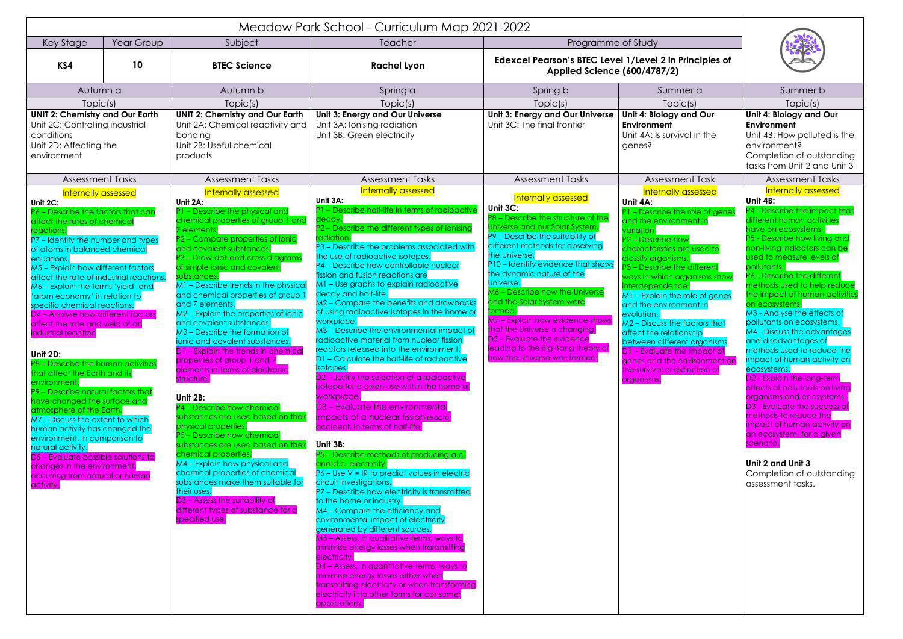| Meadow Park School - Curriculum Map 2021-2022                                                                                                                                                                                                                                                                                                                                                                                                                                                                                                                                                                                                                                                                                                                                                                                                                                                                                                           |    |                                                                                                                                                                                                                                                                                                                                                                                                                                                                                                                                                                                                                                                                                                                                                                                                                                                                                                                                                                                                                                                                      |                                                                                                                                                                                                                                                                                                                                                                                                                                                                                                                                                                                                                                                                                                                                                                                                                                                                                                                                                                                                                                                                                                                                                                                                                                                                                                                                                                                                                                                                                                                                                                                                     |                                                                                                                                                                                                                                                                                                                                                                                                                                                                                                                                         |                                                                                                                                                                                                                                                                                                                                                                                                                                                                                                                                                            |                                                                                                                                                                                                                                                                                                                                                                                                                                                                                                                                                                                                                                                                                                                                                                                                                                                                       |  |
|---------------------------------------------------------------------------------------------------------------------------------------------------------------------------------------------------------------------------------------------------------------------------------------------------------------------------------------------------------------------------------------------------------------------------------------------------------------------------------------------------------------------------------------------------------------------------------------------------------------------------------------------------------------------------------------------------------------------------------------------------------------------------------------------------------------------------------------------------------------------------------------------------------------------------------------------------------|----|----------------------------------------------------------------------------------------------------------------------------------------------------------------------------------------------------------------------------------------------------------------------------------------------------------------------------------------------------------------------------------------------------------------------------------------------------------------------------------------------------------------------------------------------------------------------------------------------------------------------------------------------------------------------------------------------------------------------------------------------------------------------------------------------------------------------------------------------------------------------------------------------------------------------------------------------------------------------------------------------------------------------------------------------------------------------|-----------------------------------------------------------------------------------------------------------------------------------------------------------------------------------------------------------------------------------------------------------------------------------------------------------------------------------------------------------------------------------------------------------------------------------------------------------------------------------------------------------------------------------------------------------------------------------------------------------------------------------------------------------------------------------------------------------------------------------------------------------------------------------------------------------------------------------------------------------------------------------------------------------------------------------------------------------------------------------------------------------------------------------------------------------------------------------------------------------------------------------------------------------------------------------------------------------------------------------------------------------------------------------------------------------------------------------------------------------------------------------------------------------------------------------------------------------------------------------------------------------------------------------------------------------------------------------------------------|-----------------------------------------------------------------------------------------------------------------------------------------------------------------------------------------------------------------------------------------------------------------------------------------------------------------------------------------------------------------------------------------------------------------------------------------------------------------------------------------------------------------------------------------|------------------------------------------------------------------------------------------------------------------------------------------------------------------------------------------------------------------------------------------------------------------------------------------------------------------------------------------------------------------------------------------------------------------------------------------------------------------------------------------------------------------------------------------------------------|-----------------------------------------------------------------------------------------------------------------------------------------------------------------------------------------------------------------------------------------------------------------------------------------------------------------------------------------------------------------------------------------------------------------------------------------------------------------------------------------------------------------------------------------------------------------------------------------------------------------------------------------------------------------------------------------------------------------------------------------------------------------------------------------------------------------------------------------------------------------------|--|
| Year Group<br>Key Stage                                                                                                                                                                                                                                                                                                                                                                                                                                                                                                                                                                                                                                                                                                                                                                                                                                                                                                                                 |    | Subject                                                                                                                                                                                                                                                                                                                                                                                                                                                                                                                                                                                                                                                                                                                                                                                                                                                                                                                                                                                                                                                              | <b>Teacher</b>                                                                                                                                                                                                                                                                                                                                                                                                                                                                                                                                                                                                                                                                                                                                                                                                                                                                                                                                                                                                                                                                                                                                                                                                                                                                                                                                                                                                                                                                                                                                                                                      | Programme of Study                                                                                                                                                                                                                                                                                                                                                                                                                                                                                                                      |                                                                                                                                                                                                                                                                                                                                                                                                                                                                                                                                                            |                                                                                                                                                                                                                                                                                                                                                                                                                                                                                                                                                                                                                                                                                                                                                                                                                                                                       |  |
| KS4                                                                                                                                                                                                                                                                                                                                                                                                                                                                                                                                                                                                                                                                                                                                                                                                                                                                                                                                                     | 10 | <b>BTEC Science</b>                                                                                                                                                                                                                                                                                                                                                                                                                                                                                                                                                                                                                                                                                                                                                                                                                                                                                                                                                                                                                                                  | <b>Rachel Lyon</b>                                                                                                                                                                                                                                                                                                                                                                                                                                                                                                                                                                                                                                                                                                                                                                                                                                                                                                                                                                                                                                                                                                                                                                                                                                                                                                                                                                                                                                                                                                                                                                                  | Edexcel Pearson's BTEC Level 1/Level 2 in Principles of<br><b>Applied Science (600/4787/2)</b>                                                                                                                                                                                                                                                                                                                                                                                                                                          |                                                                                                                                                                                                                                                                                                                                                                                                                                                                                                                                                            |                                                                                                                                                                                                                                                                                                                                                                                                                                                                                                                                                                                                                                                                                                                                                                                                                                                                       |  |
| Autumn a                                                                                                                                                                                                                                                                                                                                                                                                                                                                                                                                                                                                                                                                                                                                                                                                                                                                                                                                                |    | Autumn b                                                                                                                                                                                                                                                                                                                                                                                                                                                                                                                                                                                                                                                                                                                                                                                                                                                                                                                                                                                                                                                             | Spring a                                                                                                                                                                                                                                                                                                                                                                                                                                                                                                                                                                                                                                                                                                                                                                                                                                                                                                                                                                                                                                                                                                                                                                                                                                                                                                                                                                                                                                                                                                                                                                                            | Spring b                                                                                                                                                                                                                                                                                                                                                                                                                                                                                                                                | Summer a                                                                                                                                                                                                                                                                                                                                                                                                                                                                                                                                                   | Summer b                                                                                                                                                                                                                                                                                                                                                                                                                                                                                                                                                                                                                                                                                                                                                                                                                                                              |  |
| Topic(s)                                                                                                                                                                                                                                                                                                                                                                                                                                                                                                                                                                                                                                                                                                                                                                                                                                                                                                                                                |    | Topic(s)                                                                                                                                                                                                                                                                                                                                                                                                                                                                                                                                                                                                                                                                                                                                                                                                                                                                                                                                                                                                                                                             | Topic(s)                                                                                                                                                                                                                                                                                                                                                                                                                                                                                                                                                                                                                                                                                                                                                                                                                                                                                                                                                                                                                                                                                                                                                                                                                                                                                                                                                                                                                                                                                                                                                                                            | Topic(s)                                                                                                                                                                                                                                                                                                                                                                                                                                                                                                                                | Topic(s)                                                                                                                                                                                                                                                                                                                                                                                                                                                                                                                                                   | Topic(s)                                                                                                                                                                                                                                                                                                                                                                                                                                                                                                                                                                                                                                                                                                                                                                                                                                                              |  |
| <b>UNIT 2: Chemistry and Our Earth</b><br>Unit 2C: Controlling industrial<br>conditions<br>Unit 2D: Affecting the<br>environment                                                                                                                                                                                                                                                                                                                                                                                                                                                                                                                                                                                                                                                                                                                                                                                                                        |    | <b>UNIT 2: Chemistry and Our Earth</b><br>Unit 2A: Chemical reactivity and<br>bonding<br>Unit 2B: Useful chemical<br>products                                                                                                                                                                                                                                                                                                                                                                                                                                                                                                                                                                                                                                                                                                                                                                                                                                                                                                                                        | Unit 3: Energy and Our Universe<br>Unit 3A: Ionising radiation<br>Unit 3B: Green electricity                                                                                                                                                                                                                                                                                                                                                                                                                                                                                                                                                                                                                                                                                                                                                                                                                                                                                                                                                                                                                                                                                                                                                                                                                                                                                                                                                                                                                                                                                                        | Unit 3: Energy and Our Universe<br>Unit 3C: The final frontier                                                                                                                                                                                                                                                                                                                                                                                                                                                                          | Unit 4: Biology and Our<br>Environment<br>Unit 4A: Is survival in the<br>genes?                                                                                                                                                                                                                                                                                                                                                                                                                                                                            | Unit 4: Biology and Our<br>Environment<br>Unit 4B: How polluted is the<br>environment?<br>Completion of outstanding<br>tasks from Unit 2 and Unit 3                                                                                                                                                                                                                                                                                                                                                                                                                                                                                                                                                                                                                                                                                                                   |  |
| <b>Assessment Tasks</b>                                                                                                                                                                                                                                                                                                                                                                                                                                                                                                                                                                                                                                                                                                                                                                                                                                                                                                                                 |    | <b>Assessment Tasks</b>                                                                                                                                                                                                                                                                                                                                                                                                                                                                                                                                                                                                                                                                                                                                                                                                                                                                                                                                                                                                                                              | <b>Assessment Tasks</b>                                                                                                                                                                                                                                                                                                                                                                                                                                                                                                                                                                                                                                                                                                                                                                                                                                                                                                                                                                                                                                                                                                                                                                                                                                                                                                                                                                                                                                                                                                                                                                             | <b>Assessment Tasks</b>                                                                                                                                                                                                                                                                                                                                                                                                                                                                                                                 | <b>Assessment Task</b>                                                                                                                                                                                                                                                                                                                                                                                                                                                                                                                                     | <b>Assessment Tasks</b>                                                                                                                                                                                                                                                                                                                                                                                                                                                                                                                                                                                                                                                                                                                                                                                                                                               |  |
| Internally assessed<br>Unit 2C:<br>P6 - Describe the factors that can<br>affect the rates of chemical<br>eactions.<br>P7 - Identify the number and types<br>of atoms in balanced chemical<br>equations.<br>M5 - Explain how different factors<br>affect the rate of industrial reactions.<br>M6 - Explain the terms 'yield' and<br>'atom economy' in relation to<br>specific chemical reactions.<br>D4 - Analyse how different factors<br>affect the rate and yield of an<br>industrial reaction<br>Unit 2D:<br>P8 - Describe the human activities<br>that affect the Earth and its<br>environment.<br>P9 - Describe natural factors that<br>have changed the surface and<br>atmosphere of the Earth.<br>M7 - Discuss the extent to which<br>human activity has changed the<br>environment, in comparison to<br>natural activity.<br>D5 – Evaluate possible solutions to<br>changes in the environment,<br>occurring from natural or human<br>activity. |    | Internally assessed<br>Unit 2A:<br>P1 - Describe the physical and<br>chemical properties of group 1 and<br>dements.<br>P2 - Compare properties of ionic<br>and covalent substances.<br>P3 - Draw dot-and-cross diagrams<br>of simple ionic and covalent<br>ubstances.<br>M1 - Describe trends in the physica<br>and chemical properties of group<br>and 7 elements.<br>M2 - Explain the properties of ionic<br>and covalent substances.<br>M3 - Describe the formation of<br>ionic and covalent substances.<br>D1 - Explain the trends in chemical<br>properties of group 1 and 7<br>elements in terms of electronic<br>structure.<br>Unit 2B:<br>P4 - Describe how chemical<br>substances are used based on their<br>physical properties.<br>P5 - Describe how chemical<br>substances are used based on their<br>chemical properties.<br>M4 - Explain how physical and<br>chemical properties of chemical<br>substances make them suitable for<br>their uses.<br>D <sub>3</sub> - Assess the suitability of<br>different types of substance for a<br>specified use. | Internally assessed<br>Unit 3A:<br>P1 - Describe half-life in terms of radioactive<br>deca<br>P2 - Describe the different types of ionising<br>radiatior<br>P3 - Describe the problems associated with<br>the use of radioactive isotopes.<br>P4 - Describe how controllable nuclear<br>fission and fusion reactions are<br>M1 - Use graphs to explain radioactive<br>decay and half-life.<br>M2 - Compare the benefits and drawbacks<br>of using radioactive isotopes in the home or<br>workplace.<br>M3 - Describe the environmental impact of<br>radioactive material from nuclear fission<br>reactors released into the environment.<br>D1 – Calculate the half-life of radioactive<br>isotopes.<br>D2 – Justify the selection of a radioactive<br>isotope for a given use within the home or<br>workplace.<br>D3 - Evaluate the environmental<br>impacts of a nuclear fission reactor<br>accident, in terms of half-life.<br>Unit 3B:<br>P5 - Describe methods of producing a.c.<br>and d.c. electricity.<br>$P6 - Use V = IR$ to predict values in electric<br>circuit investigations.<br>P7 - Describe how electricity is transmitted<br>to the home or industry.<br>M4 - Compare the efficiency and<br>environmental impact of electricity<br>generated by different sources.<br>M5 - Assess, in qualitative terms, ways to<br>minimise energy losses when transmitting<br>electricity.<br>D4 – Assess, in quantitative terms, ways to<br>minimise energy losses either when<br>transmitting electricity or when transforming<br>electricity into other forms for consumer<br>applications. | <b>Internally assessed</b><br>Unit 3C:<br>P8 - Describe the structure of the<br>Universe and our Solar System<br>P9 - Describe the suitability of<br>different methods for observing<br>the Universe.<br>P10 - Identify evidence that shows<br>the dynamic nature of the<br>Universe.<br>M6 - Describe how the Universe<br>and the Solar System were<br>formed.<br>M7 - Explain how evidence shows<br>that the Universe is changing.<br>D5 - Evaluate the evidence<br>leading to the Big Bang theory of<br>how the Universe was tormed. | Internally assessed<br>Unit 4A:<br>P1 - Describe the role of gene<br>and the environment in<br>variation<br>P2 - Describe how<br>characteristics are used to<br>classify organisms.<br>P3 - Describe the different<br>ways in which organisms show<br>interdependence.<br>M1 - Explain the role of genes<br>and the environment in<br>evolution.<br>M2 - Discuss the factors that<br>affect the relationship<br>between different organisms.<br>D1 - Evaluate the impact of<br>genes and the environment on<br>the survival or extinction of<br>organisms. | Internally assessed<br>Unit 4B:<br>P4 - Describe the impact that<br>different human activities<br>have on ecosystems.<br>P5 - Describe how living and<br>non-living indicators can be<br>ised to measure levels of<br>pollutants.<br>P6 - Describe the different<br>methods used to help reduce<br>the impact of human activities<br>on ecosystems.<br>M3 - Analyse the effects of<br>pollutants on ecosystems.<br>M4 - Discuss the advantages<br>and disadvantages of<br>methods used to reduce the<br>impact of human activity on<br>ecosystems.<br>D <sub>2</sub> - Explain the long-term<br>effects of pollutants on living<br>organisms and ecosystems.<br>D3 - Evaluate the success of<br>methods to reduce the<br>impact of human activity on<br>an ecosystem, for a given<br>scenario.<br>Unit 2 and Unit 3<br>Completion of outstanding<br>assessment tasks. |  |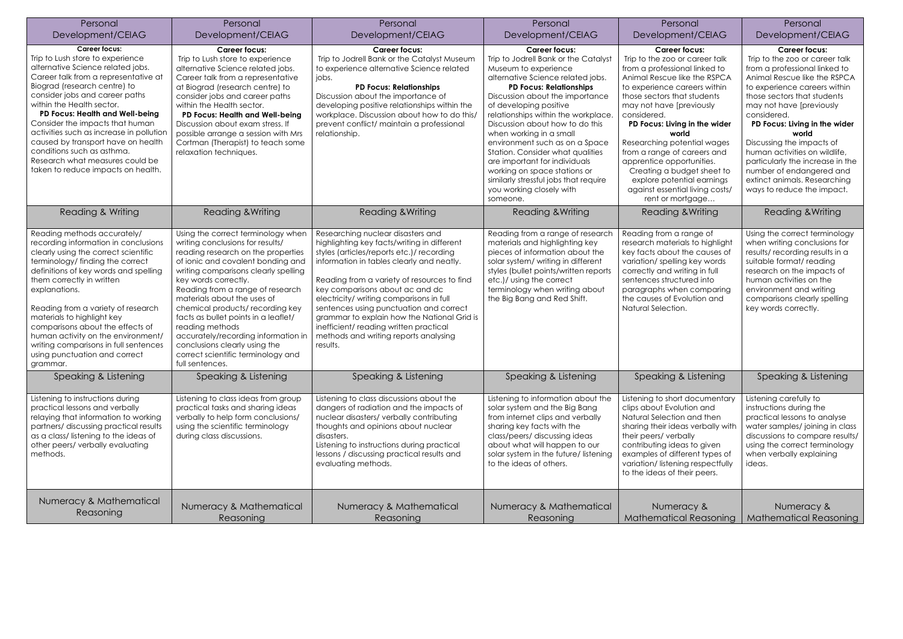| Personal                                                                                                                                                                                                                                                                                                                                                                                                                                                                                            | Personal                                                                                                                                                                                                                                                                                                                                                                                                                                                                                                            | Personal                                                                                                                                                                                                                                                                                                                                                                                                                                                                                         | Personal                                                                                                                                                                                                                                                                                                                                                                                                                                                                                                                                              | Personal                                                                                                                                                                                                                                                                                                                                                                                                                                                                                  | Personal                                                                                                                                                                                                                                                                                                                                                                                                                                                                |
|-----------------------------------------------------------------------------------------------------------------------------------------------------------------------------------------------------------------------------------------------------------------------------------------------------------------------------------------------------------------------------------------------------------------------------------------------------------------------------------------------------|---------------------------------------------------------------------------------------------------------------------------------------------------------------------------------------------------------------------------------------------------------------------------------------------------------------------------------------------------------------------------------------------------------------------------------------------------------------------------------------------------------------------|--------------------------------------------------------------------------------------------------------------------------------------------------------------------------------------------------------------------------------------------------------------------------------------------------------------------------------------------------------------------------------------------------------------------------------------------------------------------------------------------------|-------------------------------------------------------------------------------------------------------------------------------------------------------------------------------------------------------------------------------------------------------------------------------------------------------------------------------------------------------------------------------------------------------------------------------------------------------------------------------------------------------------------------------------------------------|-------------------------------------------------------------------------------------------------------------------------------------------------------------------------------------------------------------------------------------------------------------------------------------------------------------------------------------------------------------------------------------------------------------------------------------------------------------------------------------------|-------------------------------------------------------------------------------------------------------------------------------------------------------------------------------------------------------------------------------------------------------------------------------------------------------------------------------------------------------------------------------------------------------------------------------------------------------------------------|
| Development/CEIAG                                                                                                                                                                                                                                                                                                                                                                                                                                                                                   | Development/CEIAG                                                                                                                                                                                                                                                                                                                                                                                                                                                                                                   | Development/CEIAG                                                                                                                                                                                                                                                                                                                                                                                                                                                                                | Development/CEIAG                                                                                                                                                                                                                                                                                                                                                                                                                                                                                                                                     | Development/CEIAG                                                                                                                                                                                                                                                                                                                                                                                                                                                                         | Development/CEIAG                                                                                                                                                                                                                                                                                                                                                                                                                                                       |
| <b>Career focus:</b><br>Trip to Lush store to experience<br>alternative Science related jobs.<br>Career talk from a representative at<br>Biograd (research centre) to<br>consider jobs and career paths<br>within the Health sector.<br>PD Focus: Health and Well-being<br>Consider the impacts that human<br>activities such as increase in pollution<br>caused by transport have on health<br>conditions such as asthma.<br>Research what measures could be<br>taken to reduce impacts on health. | <b>Career focus:</b><br>Trip to Lush store to experience<br>alternative Science related jobs.<br>Career talk from a representative<br>at Biograd (research centre) to<br>consider jobs and career paths<br>within the Health sector.<br>PD Focus: Health and Well-being<br>Discussion about exam stress. If<br>possible arrange a session with Mrs<br>Cortman (Therapist) to teach some<br>relaxation techniques.                                                                                                   | <b>Career focus:</b><br>Trip to Jodrell Bank or the Catalyst Museum<br>to experience alternative Science related<br>jobs.<br><b>PD Focus: Relationships</b><br>Discussion about the importance of<br>developing positive relationships within the<br>workplace. Discussion about how to do this/<br>prevent conflict/ maintain a professional<br>relationship.                                                                                                                                   | <b>Career focus:</b><br>Trip to Jodrell Bank or the Catalyst<br>Museum to experience<br>alternative Science related jobs.<br><b>PD Focus: Relationships</b><br>Discussion about the importance<br>of developing positive<br>relationships within the workplace.<br>Discussion about how to do this<br>when working in a small<br>environment such as on a Space<br>Station. Consider what qualities<br>are important for individuals<br>working on space stations or<br>similarly stressful jobs that require<br>you working closely with<br>someone. | <b>Career focus:</b><br>Trip to the zoo or career talk<br>from a professional linked to<br>Animal Rescue like the RSPCA<br>to experience careers within<br>those sectors that students<br>may not have [previously<br>considered.<br>PD Focus: Living in the wider<br>world<br>Researching potential wages<br>from a range of careers and<br>apprentice opportunities.<br>Creating a budget sheet to<br>explore potential earnings<br>against essential living costs/<br>rent or mortgage | <b>Career focus:</b><br>Trip to the zoo or career talk<br>from a professional linked to<br>Animal Rescue like the RSPCA<br>to experience careers within<br>those sectors that students<br>may not have [previously<br>considered.<br>PD Focus: Living in the wider<br>world<br>Discussing the impacts of<br>human activities on wildlife,<br>particularly the increase in the<br>number of endangered and<br>extinct animals. Researching<br>ways to reduce the impact. |
| <b>Reading &amp; Writing</b>                                                                                                                                                                                                                                                                                                                                                                                                                                                                        | <b>Reading &amp; Writing</b>                                                                                                                                                                                                                                                                                                                                                                                                                                                                                        | <b>Reading &amp; Writing</b>                                                                                                                                                                                                                                                                                                                                                                                                                                                                     | <b>Reading &amp; Writing</b>                                                                                                                                                                                                                                                                                                                                                                                                                                                                                                                          | <b>Reading &amp; Writing</b>                                                                                                                                                                                                                                                                                                                                                                                                                                                              | <b>Reading &amp; Writing</b>                                                                                                                                                                                                                                                                                                                                                                                                                                            |
| Reading methods accurately/<br>recording information in conclusions<br>clearly using the correct scientific<br>terminology/ finding the correct<br>definitions of key words and spelling<br>them correctly in written<br>explanations.<br>Reading from a variety of research<br>materials to highlight key<br>comparisons about the effects of<br>human activity on the environment/<br>writing comparisons in full sentences<br>using punctuation and correct<br>grammar.                          | Using the correct terminology when<br>writing conclusions for results/<br>reading research on the properties<br>of ionic and covalent bonding and<br>writing comparisons clearly spelling<br>key words correctly.<br>Reading from a range of research<br>materials about the uses of<br>chemical products/recording key<br>facts as bullet points in a leaflet/<br>reading methods<br>accurately/recording information in<br>conclusions clearly using the<br>correct scientific terminology and<br>full sentences. | Researching nuclear disasters and<br>highlighting key facts/writing in different<br>styles (articles/reports etc.)/ recording<br>information in tables clearly and neatly.<br>Reading from a variety of resources to find<br>key comparisons about ac and dc<br>electricity/ writing comparisons in full<br>sentences using punctuation and correct<br>grammar to explain how the National Grid is<br>inefficient/reading written practical<br>methods and writing reports analysing<br>results. | Reading from a range of research<br>materials and highlighting key<br>pieces of information about the<br>solar system/ writing in different<br>styles (bullet points/written reports<br>etc.)/ using the correct<br>terminology when writing about<br>the Big Bang and Red Shift.                                                                                                                                                                                                                                                                     | Reading from a range of<br>research materials to highlight<br>key facts about the causes of<br>variation/spelling key words<br>correctly and writing in full<br>sentences structured into<br>paragraphs when comparing<br>the causes of Evolution and<br>Natural Selection.                                                                                                                                                                                                               | Using the correct terminology<br>when writing conclusions for<br>results/recording results in a<br>suitable format/ reading<br>research on the impacts of<br>human activities on the<br>environment and writing<br>comparisons clearly spelling<br>key words correctly.                                                                                                                                                                                                 |
| Speaking & Listening                                                                                                                                                                                                                                                                                                                                                                                                                                                                                | Speaking & Listening                                                                                                                                                                                                                                                                                                                                                                                                                                                                                                | Speaking & Listening                                                                                                                                                                                                                                                                                                                                                                                                                                                                             | Speaking & Listening                                                                                                                                                                                                                                                                                                                                                                                                                                                                                                                                  | Speaking & Listening                                                                                                                                                                                                                                                                                                                                                                                                                                                                      | Speaking & Listening                                                                                                                                                                                                                                                                                                                                                                                                                                                    |
| Listening to instructions during<br>practical lessons and verbally<br>relaying that information to working<br>partners/ discussing practical results<br>as a class/listening to the ideas of<br>other peers/ verbally evaluating<br>methods.                                                                                                                                                                                                                                                        | Listening to class ideas from group<br>practical tasks and sharing ideas<br>verbally to help form conclusions/<br>using the scientific terminology<br>during class discussions.                                                                                                                                                                                                                                                                                                                                     | Listening to class discussions about the<br>dangers of radiation and the impacts of<br>nuclear disasters/ verbally contributing<br>thoughts and opinions about nuclear<br>disasters.<br>Listening to instructions during practical<br>lessons / discussing practical results and<br>evaluating methods.                                                                                                                                                                                          | Listening to information about the<br>solar system and the Big Bang<br>from internet clips and verbally<br>sharing key facts with the<br>class/peers/ discussing ideas<br>about what will happen to our<br>solar system in the future/ listening<br>to the ideas of others.                                                                                                                                                                                                                                                                           | Listening to short documentary<br>clips about Evolution and<br>Natural Selection and then<br>sharing their ideas verbally with<br>their peers/verbally<br>contributing ideas to given<br>examples of different types of<br>variation/listening respectfully<br>to the ideas of their peers.                                                                                                                                                                                               | Listening carefully to<br>instructions during the<br>practical lessons to analyse<br>water samples/joining in class<br>discussions to compare results/<br>using the correct terminology<br>when verbally explaining<br>ideas.                                                                                                                                                                                                                                           |
| Numeracy & Mathematical<br><b>Reasoning</b>                                                                                                                                                                                                                                                                                                                                                                                                                                                         | Numeracy & Mathematical<br>Reasoning                                                                                                                                                                                                                                                                                                                                                                                                                                                                                | Numeracy & Mathematical<br>Reasoning                                                                                                                                                                                                                                                                                                                                                                                                                                                             | Numeracy & Mathematical<br>Reasoning                                                                                                                                                                                                                                                                                                                                                                                                                                                                                                                  | Numeracy &<br><b>Mathematical Reasoning</b>                                                                                                                                                                                                                                                                                                                                                                                                                                               | Numeracy &<br><b>Mathematical Reasoning</b>                                                                                                                                                                                                                                                                                                                                                                                                                             |